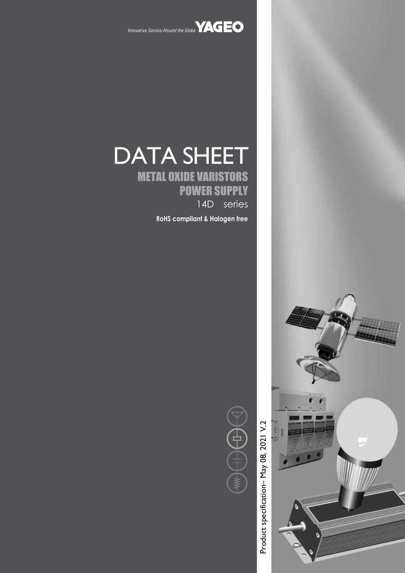

# DATA SHEET METAL OXIDE VARISTORS

POWER SUPPLY 14D series

**RoHS compliant & Halogen free**



Product specification – May 08, 2021 V. Product specification-May 08, 2021 V.2

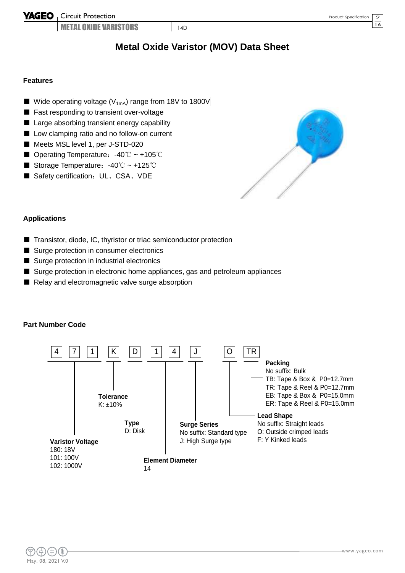**YAGEO** Circuit Protection

**METAL OXIDE VARISTORS** 14D

#### **Features**

- Wide operating voltage ( $V_{1mA}$ ) range from 18V to 1800V
- Fast responding to transient over-voltage
- Large absorbing transient energy capability
- Low clamping ratio and no follow-on current
- Meets MSL level 1, per J-STD-020
- Operating Temperature: -40℃ ~ +105℃
- Storage Temperature: -40℃ ~ +125℃
- Safety certification: UL、CSA、VDE



#### **Applications**

- Transistor, diode, IC, thyristor or triac semiconductor protection
- Surge protection in consumer electronics
- Surge protection in industrial electronics
- Surge protection in electronic home appliances, gas and petroleum appliances
- Relay and electromagnetic valve surge absorption

#### **Part Number Code**



 $\overline{16}$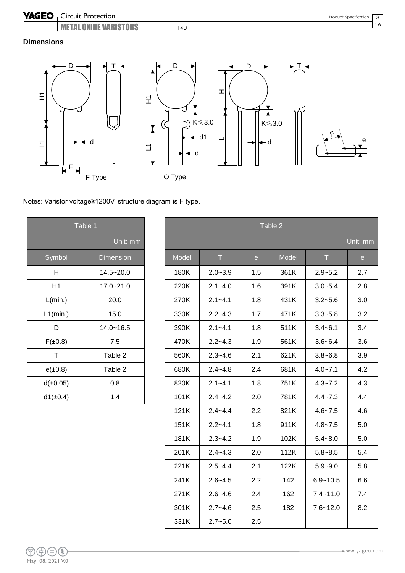



## Notes: Varistor voltage≥1200V, structure diagram is F type.

| Table 1       |                  |  |  |
|---------------|------------------|--|--|
|               | Unit: mm         |  |  |
| Symbol        | <b>Dimension</b> |  |  |
| н             | $14.5 - 20.0$    |  |  |
| H1            | $17.0 - 21.0$    |  |  |
| L(min.)       | 20.0             |  |  |
| $L1$ (min.)   | 15.0             |  |  |
| D             | $14.0 - 16.5$    |  |  |
| $F(\pm 0.8)$  | 7.5              |  |  |
| т             | Table 2          |  |  |
| $e(\pm 0.8)$  | Table 2          |  |  |
| d(±0.05)      | 0.8              |  |  |
| $d1(\pm 0.4)$ | 1.4              |  |  |

| Table 1       |                  | Table 2 |             |                                            |       |              |              |
|---------------|------------------|---------|-------------|--------------------------------------------|-------|--------------|--------------|
|               | Unit: mm         |         |             |                                            |       |              | Unit: mm     |
| Symbol        | <b>Dimension</b> | Model   | T           | $\mathbf{e}% _{t}\left( \mathbf{1}\right)$ | Model | T            | $\mathbf{e}$ |
| H             | $14.5 - 20.0$    | 180K    | $2.0 - 3.9$ | 1.5                                        | 361K  | $2.9 - 5.2$  | 2.7          |
| H1            | $17.0 - 21.0$    | 220K    | $2.1 - 4.0$ | 1.6                                        | 391K  | $3.0 - 5.4$  | 2.8          |
| L(min.)       | 20.0             | 270K    | $2.1 - 4.1$ | 1.8                                        | 431K  | $3.2 - 5.6$  | 3.0          |
| L1(min.)      | 15.0             | 330K    | $2.2 - 4.3$ | 1.7                                        | 471K  | $3.3 - 5.8$  | 3.2          |
| D             | $14.0 - 16.5$    | 390K    | $2.1 - 4.1$ | 1.8                                        | 511K  | $3.4 - 6.1$  | 3.4          |
| $F(\pm 0.8)$  | 7.5              | 470K    | $2.2 - 4.3$ | 1.9                                        | 561K  | $3.6 - 6.4$  | 3.6          |
| $\mathsf T$   | Table 2          | 560K    | $2.3 - 4.6$ | 2.1                                        | 621K  | $3.8 - 6.8$  | 3.9          |
| $e(\pm 0.8)$  | Table 2          | 680K    | $2.4 - 4.8$ | 2.4                                        | 681K  | $4.0 - 7.1$  | 4.2          |
| d(±0.05)      | 0.8              | 820K    | $2.1 - 4.1$ | 1.8                                        | 751K  | $4.3 - 7.2$  | 4.3          |
| $d1(\pm 0.4)$ | 1.4              | 101K    | $2.4 - 4.2$ | 2.0                                        | 781K  | $4.4 - 7.3$  | 4.4          |
|               |                  | 121K    | $2.4 - 4.4$ | 2.2                                        | 821K  | $4.6 - 7.5$  | 4.6          |
|               |                  | 151K    | $2.2 - 4.1$ | 1.8                                        | 911K  | $4.8 - 7.5$  | 5.0          |
|               |                  | 181K    | $2.3 - 4.2$ | 1.9                                        | 102K  | $5.4 - 8.0$  | 5.0          |
|               |                  | 201K    | $2.4 - 4.3$ | 2.0                                        | 112K  | $5.8 - 8.5$  | 5.4          |
|               |                  | 221K    | $2.5 - 4.4$ | 2.1                                        | 122K  | $5.9 - 9.0$  | 5.8          |
|               |                  | 241K    | $2.6 - 4.5$ | 2.2                                        | 142   | $6.9 - 10.5$ | 6.6          |
|               |                  | 271K    | $2.6 - 4.6$ | 2.4                                        | 162   | $7.4 - 11.0$ | 7.4          |
|               |                  | 301K    | $2.7 - 4.6$ | 2.5                                        | 182   | $7.6 - 12.0$ | 8.2          |
|               |                  | 331K    | $2.7 - 5.0$ | 2.5                                        |       |              |              |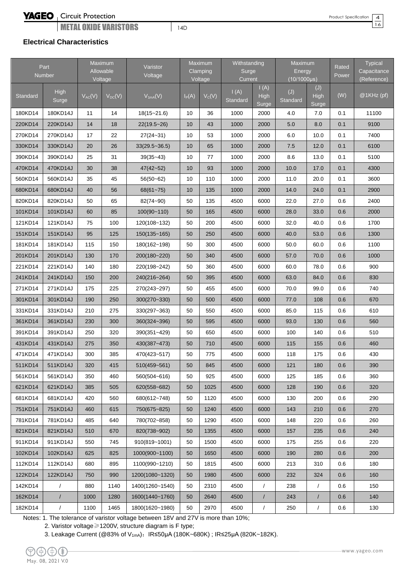# **YAGEO**

## Circuit Protection

**METAL OXIDE VARISTORS** 24D

Product Specification

4 16

#### **Electrical Characteristics**

|          | Part<br>Number |             | Maximum<br>Allowable<br>Voltage | Varistor<br>Voltage |          | Maximum<br>Clamping<br>Voltage | Withstanding<br>Surge<br>Current |                              | Maximum<br>Energy<br>$(10/1000\mu s)$ |                             | Rated<br>Power | Typical<br>Capacitance<br>(Reference) |
|----------|----------------|-------------|---------------------------------|---------------------|----------|--------------------------------|----------------------------------|------------------------------|---------------------------------------|-----------------------------|----------------|---------------------------------------|
| Standard | High<br>Surge  | $V_{AC}(V)$ | $V_{DC}(V)$                     | $V_{1mA}(V)$        | $I_P(A)$ | $V_C(V)$                       | $\mathsf{I}(A)$<br>Standard      | I(A)<br><b>High</b><br>Surge | (J)<br>Standard                       | (J)<br><b>High</b><br>Surge | (W)            | $@1KHz$ (pf)                          |
| 180KD14  | 180KD14J       | 11          | 14                              | $18(15 - 21.6)$     | 10       | 36                             | 1000                             | 2000                         | 4.0                                   | 7.0                         | 0.1            | 11100                                 |
| 220KD14  | 220KD14J       | 14          | 18                              | $22(19.5 - 26)$     | 10       | 43                             | 1000                             | 2000                         | 5.0                                   | 8.0                         | 0.1            | 9100                                  |
| 270KD14  | 270KD14J       | 17          | 22                              | $27(24 - 31)$       | 10       | 53                             | 1000                             | 2000                         | 6.0                                   | 10.0                        | 0.1            | 7400                                  |
| 330KD14  | 330KD14J       | 20          | 26                              | $33(29.5 - 36.5)$   | 10       | 65                             | 1000                             | 2000                         | 7.5                                   | 12.0                        | 0.1            | 6100                                  |
| 390KD14  | 390KD14J       | 25          | 31                              | $39(35-43)$         | 10       | 77                             | 1000                             | 2000                         | 8.6                                   | 13.0                        | 0.1            | 5100                                  |
| 470KD14  | 470KD14J       | 30          | 38                              | $47(42 - 52)$       | 10       | 93                             | 1000                             | 2000                         | 10.0                                  | 17.0                        | 0.1            | 4300                                  |
| 560KD14  | 560KD14J       | 35          | 45                              | $56(50 - 62)$       | 10       | 110                            | 1000                             | 2000                         | 11.0                                  | 20.0                        | 0.1            | 3600                                  |
| 680KD14  | 680KD14J       | 40          | 56                              | $68(61 - 75)$       | 10       | 135                            | 1000                             | 2000                         | 14.0                                  | 24.0                        | 0.1            | 2900                                  |
| 820KD14  | 820KD14J       | 50          | 65                              | 82(74~90)           | 50       | 135                            | 4500                             | 6000                         | 22.0                                  | 27.0                        | 0.6            | 2400                                  |
| 101KD14  | 101KD14J       | 60          | 85                              | $100(90 - 110)$     | 50       | 165                            | 4500                             | 6000                         | 28.0                                  | 33.0                        | 0.6            | 2000                                  |
| 121KD14  | 121KD14J       | 75          | 100                             | 120(108~132)        | 50       | 200                            | 4500                             | 6000                         | 32.0                                  | 40.0                        | 0.6            | 1700                                  |
| 151KD14  | 151KD14J       | 95          | 125                             | $150(135 - 165)$    | 50       | 250                            | 4500                             | 6000                         | 40.0                                  | 53.0                        | 0.6            | 1300                                  |
| 181KD14  | 181KD14J       | 115         | 150                             | 180(162~198)        | 50       | 300                            | 4500                             | 6000                         | 50.0                                  | 60.0                        | 0.6            | 1100                                  |
| 201KD14  | 201KD14J       | 130         | 170                             | 200(180~220)        | 50       | 340                            | 4500                             | 6000                         | 57.0                                  | 70.0                        | 0.6            | 1000                                  |
| 221KD14  | 221KD14J       | 140         | 180                             | 220(198~242)        | 50       | 360                            | 4500                             | 6000                         | 60.0                                  | 78.0                        | 0.6            | 900                                   |
| 241KD14  | 241KD14J       | 150         | 200                             | 240(216~264)        | 50       | 395                            | 4500                             | 6000                         | 63.0                                  | 84.0                        | 0.6            | 830                                   |
| 271KD14  | 271KD14J       | 175         | 225                             | 270(243~297)        | 50       | 455                            | 4500                             | 6000                         | 70.0                                  | 99.0                        | 0.6            | 740                                   |
| 301KD14  | 301KD14J       | 190         | 250                             | 300(270~330)        | 50       | 500                            | 4500                             | 6000                         | 77.0                                  | 108                         | 0.6            | 670                                   |
| 331KD14  | 331KD14J       | 210         | 275                             | 330(297~363)        | 50       | 550                            | 4500                             | 6000                         | 85.0                                  | 115                         | 0.6            | 610                                   |
| 361KD14  | 361KD14J       | 230         | 300                             | 360(324~396)        | 50       | 595                            | 4500                             | 6000                         | 93.0                                  | 130                         | 0.6            | 560                                   |
| 391KD14  | 391KD14J       | 250         | 320                             | 390(351~429)        | 50       | 650                            | 4500                             | 6000                         | 100                                   | 140                         | 0.6            | 510                                   |
| 431KD14  | 431KD14J       | 275         | 350                             | 430(387~473)        | 50       | 710                            | 4500                             | 6000                         | 115                                   | 155                         | 0.6            | 460                                   |
| 471KD14  | 471KD14J       | 300         | 385                             | 470(423~517)        | 50       | 775                            | 4500                             | 6000                         | 118                                   | 175                         | 0.6            | 430                                   |
| 511KD14  | 511KD14J       | 320         | 415                             | 510(459~561)        | 50       | 845                            | 4500                             | 6000                         | 121                                   | 180                         | 0.6            | 390                                   |
| 561KD14  | 561KD14J       | 350         | 460                             | 560(504~616)        | 50       | 925                            | 4500                             | 6000                         | 125                                   | 185                         | 0.6            | 360                                   |
| 621KD14  | 621KD14J       | 385         | 505                             | 620(558~682)        | 50       | 1025                           | 4500                             | 6000                         | 128                                   | 190                         | 0.6            | 320                                   |
| 681KD14  | 681KD14J       | 420         | 560                             | 680(612~748)        | 50       | 1120                           | 4500                             | 6000                         | 130                                   | 200                         | 0.6            | 290                                   |
| 751KD14  | 751KD14J       | 460         | 615                             | 750(675~825)        | 50       | 1240                           | 4500                             | 6000                         | 143                                   | 210                         | 0.6            | 270                                   |
| 781KD14  | 781KD14J       | 485         | 640                             | 780(702~858)        | 50       | 1290                           | 4500                             | 6000                         | 148                                   | 220                         | 0.6            | 260                                   |
| 821KD14  | 821KD14J       | 510         | 670                             | 820(738~902)        | 50       | 1355                           | 4500                             | 6000                         | 157                                   | 235                         | 0.6            | 240                                   |
| 911KD14  | 911KD14J       | 550         | 745                             | 910(819~1001)       | 50       | 1500                           | 4500                             | 6000                         | 175                                   | 255                         | 0.6            | 220                                   |
| 102KD14  | 102KD14J       | 625         | 825                             | 1000(900~1100)      | 50       | 1650                           | 4500                             | 6000                         | 190                                   | 280                         | 0.6            | 200                                   |
| 112KD14  | 112KD14J       | 680         | 895                             | 1100(990~1210)      | 50       | 1815                           | 4500                             | 6000                         | 213                                   | 310                         | 0.6            | 180                                   |
| 122KD14  | 122KD14J       | 750         | 990                             | 1200(1080~1320)     | 50       | 1980                           | 4500                             | 6000                         | 232                                   | 324                         | 0.6            | 160                                   |
| 142KD14  | $\sqrt{2}$     | 880         | 1140                            | 1400(1260~1540)     | 50       | 2310                           | 4500                             | $\sqrt{2}$                   | 238                                   | $\sqrt{2}$                  | 0.6            | 150                                   |
| 162KD14  | $\overline{1}$ | 1000        | 1280                            | 1600(1440~1760)     | 50       | 2640                           | 4500                             | $\overline{1}$               | 243                                   | $\sqrt{2}$                  | 0.6            | 140                                   |
| 182KD14  | $\sqrt{2}$     | 1100        | 1465                            | 1800(1620~1980)     | 50       | 2970                           | 4500                             | $\sqrt{\phantom{a}}$         | 250                                   | $\sqrt{2}$                  | 0.6            | 130                                   |

Notes: 1. The tolerance of varistor voltage between 18V and 27V is more than 10%;

2. Varistor voltage≥1200V, structure diagram is F type;

3. Leakage Current (@83% of V<sub>1mA</sub>): IR≤50μA (180K~680K) ; IR≤25μA (820K~182K).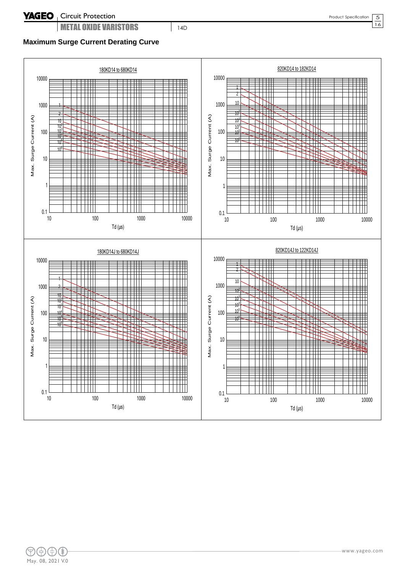$\overline{16}$ 

## **Maximum Surge Current Derating Curve**



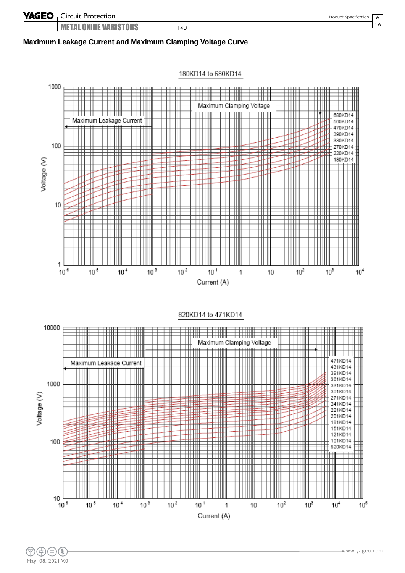6  $\overline{16}$ 

## **Maximum Leakage Current and Maximum Clamping Voltage Curve**

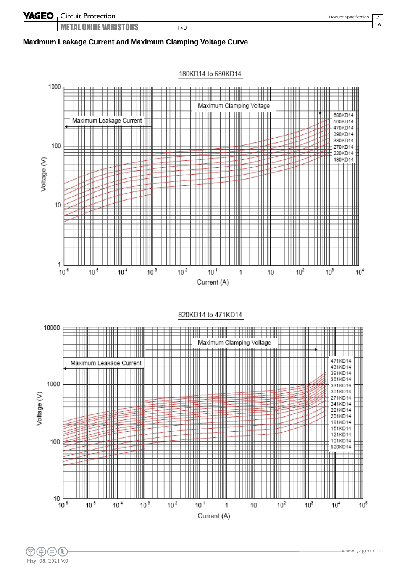7  $\overline{16}$ 

## **Maximum Leakage Current and Maximum Clamping Voltage Curve**

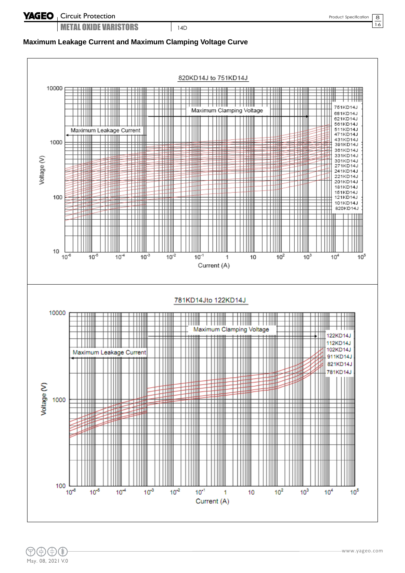8  $\overline{16}$ 

# **Maximum Leakage Current and Maximum Clamping Voltage Curve**

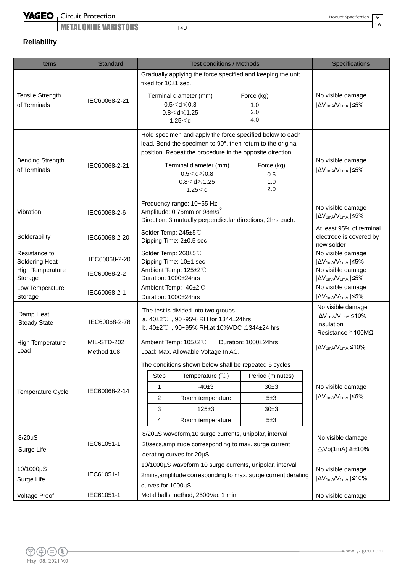Circuit Protection

**METAL OXIDE VARISTORS** 24D

Product Specification

9  $\overline{16}$ 

# **Reliability**

| <b>Items</b>                            | <b>Standard</b>           | <b>Test conditions / Methods</b>                                                                                                                                                                                                                                        | Specifications                                                                                                 |
|-----------------------------------------|---------------------------|-------------------------------------------------------------------------------------------------------------------------------------------------------------------------------------------------------------------------------------------------------------------------|----------------------------------------------------------------------------------------------------------------|
| <b>Tensile Strength</b>                 |                           | Gradually applying the force specified and keeping the unit<br>fixed for 10±1 sec.<br>Terminal diameter (mm)<br>Force (kg)                                                                                                                                              | No visible damage                                                                                              |
| of Terminals                            | IEC60068-2-21             | $0.5 < d \leq 0.8$<br>1.0<br>2.0<br>$0.8 < d \le 1.25$<br>4.0<br>1.25 < d                                                                                                                                                                                               | $ \Delta V_{1mA}/V_{1mA}  \leq 5\%$                                                                            |
| <b>Bending Strength</b><br>of Terminals | IEC60068-2-21             | Hold specimen and apply the force specified below to each<br>lead. Bend the specimen to 90°, then return to the original<br>position. Repeat the procedure in the opposite direction.<br>Terminal diameter (mm)<br>$0.5 < d \leq 0.8$<br>$0.8 < d \le 1.25$<br>1.25 < d | No visible damage<br>Force (kg)<br>$ \Delta V_{1mA}/V_{1mA}  \leq 5\%$<br>0.5<br>1.0<br>2.0                    |
| Vibration                               | IEC60068-2-6              | Frequency range: 10~55 Hz<br>Amplitude: 0.75mm or 98m/s <sup>2</sup><br>Direction: 3 mutually perpendicular directions, 2hrs each.                                                                                                                                      | No visible damage<br>$ \Delta V_{1mA}/V_{1mA}  \leq 5\%$                                                       |
| Solderability                           | IEC60068-2-20             | Solder Temp: 245±5°C<br>Dipping Time: 2±0.5 sec                                                                                                                                                                                                                         | At least 95% of terminal<br>electrode is covered by<br>new solder                                              |
| Resistance to<br>Soldering Heat         | IEC60068-2-20             | Solder Temp: 260±5°C<br>Dipping Time: 10±1 sec                                                                                                                                                                                                                          | No visible damage<br>$ \Delta V_{1mA}/V_{1mA} $ $\leq$ 5%                                                      |
| <b>High Temperature</b><br>Storage      | IEC60068-2-2              | Ambient Temp: 125±2 ℃<br>Duration: 1000±24hrs                                                                                                                                                                                                                           | No visible damage<br>$ \Delta V_{1mA}/V_{1mA}  \leq 5\%$                                                       |
| Low Temperature<br>Storage              | IEC60068-2-1              | Ambient Temp: -40±2°C<br>Duration: 1000±24hrs                                                                                                                                                                                                                           | No visible damage<br>$ \Delta V_{1mA}/V_{1mA}  \leq 5\%$                                                       |
| Damp Heat,<br><b>Steady State</b>       | IEC60068-2-78             | The test is divided into two groups.<br>a. 40±2℃, 90~95% RH for 1344±24hrs<br>b. 40±2℃, 90~95% RH, at 10%VDC, 1344±24 hrs                                                                                                                                               | No visible damage<br>$ \Delta V_{1mA}/V_{1mA}  \le 10\%$<br>Insulation<br>Resistance $\geq 100 \text{M}\Omega$ |
| High Temperature<br>Load                | MIL-STD-202<br>Method 108 | Ambient Temp: 105±2°C<br>Duration: 1000±24hrs<br>Load: Max. Allowable Voltage In AC.                                                                                                                                                                                    | $ \Delta V_{1mA}/V_{1mA}  \leq 10\%$                                                                           |
|                                         |                           | The conditions shown below shall be repeated 5 cycles                                                                                                                                                                                                                   |                                                                                                                |
|                                         |                           | Temperature $(°C)$<br>Step                                                                                                                                                                                                                                              | Period (minutes)                                                                                               |
| Temperature Cycle                       | IEC60068-2-14             | $-40±3$<br>1                                                                                                                                                                                                                                                            | 30±3<br>No visible damage                                                                                      |
|                                         |                           | $\overline{2}$<br>Room temperature                                                                                                                                                                                                                                      | $ \Delta V_{1mA}/V_{1mA}  \leq 5\%$<br>5±3                                                                     |
|                                         |                           | 3<br>$125 \pm 3$<br>4<br>Room temperature                                                                                                                                                                                                                               | $30+3$<br>5±3                                                                                                  |
|                                         |                           | 8/20µS waveform, 10 surge currents, unipolar, interval                                                                                                                                                                                                                  |                                                                                                                |
| 8/20uS<br>Surge Life                    | IEC61051-1                | 30secs, amplitude corresponding to max. surge current<br>derating curves for 20µS.                                                                                                                                                                                      | No visible damage<br>$\triangle$ Vb(1mA) $\leq \pm 10\%$                                                       |
| 10/1000µS<br>Surge Life                 | IEC61051-1                | 10/1000µS waveform, 10 surge currents, unipolar, interval<br>2mins, amplitude corresponding to max. surge current derating<br>curves for 1000µS.                                                                                                                        | No visible damage<br>$ \Delta V_{1mA}/V_{1mA}  \leq 10\%$                                                      |
| <b>Voltage Proof</b>                    | IEC61051-1                | Metal balls method, 2500Vac 1 min.                                                                                                                                                                                                                                      | No visible damage                                                                                              |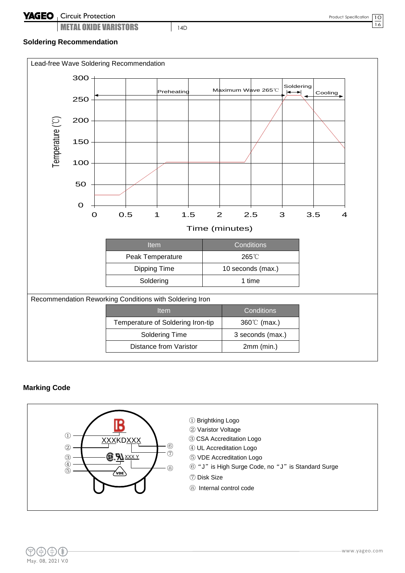#### **Soldering Recommendation**



#### **Marking Code**

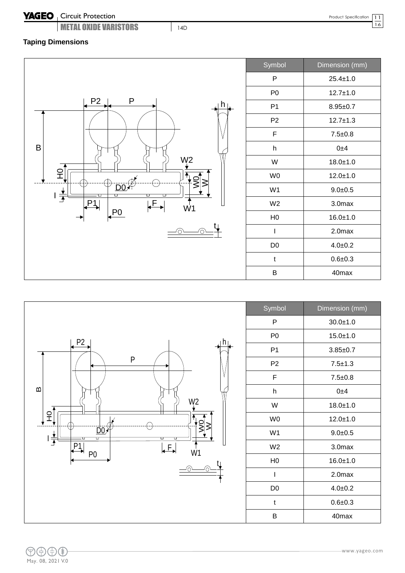# YAGEO | Circuit Protection

**METAL OXIDE VARISTORS** 14D

11  $\overline{16}$ 

# **Taping Dimensions**



| Symbol         | Dimension (mm)     |
|----------------|--------------------|
| P              | $25.4 \pm 1.0$     |
| P <sub>0</sub> | $12.7 \pm 1.0$     |
| P <sub>1</sub> | $8.95 + 0.7$       |
| P <sub>2</sub> | $12.7 + 1.3$       |
| F              | $7.5 \pm 0.8$      |
| h              | 0±4                |
| W              | $18.0 + 1.0$       |
| W <sub>0</sub> | $12.0 + 1.0$       |
| W <sub>1</sub> | $9.0 + 0.5$        |
| W <sub>2</sub> | 3.0 <sub>max</sub> |
| H <sub>0</sub> | $16.0 + 1.0$       |
| I              | 2.0max             |
| D <sub>0</sub> | $4.0 + 0.2$        |
| t              | $0.6 + 0.3$        |
| B              | 40 <sub>max</sub>  |



| Symbol         | Dimension (mm) |
|----------------|----------------|
| P              | $30.0 + 1.0$   |
| P0             | $15.0 + 1.0$   |
| P1             | $3.85 + 0.7$   |
| P <sub>2</sub> | $7.5 + 1.3$    |
| F              | $7.5 \pm 0.8$  |
| h              | 0±4            |
| W              | $18.0 + 1.0$   |
| W <sub>0</sub> | $12.0 + 1.0$   |
| W <sub>1</sub> | $9.0 + 0.5$    |
| W <sub>2</sub> | 3.0max         |
| H <sub>0</sub> | $16.0 + 1.0$   |
| I              | 2.0max         |
| D <sub>0</sub> | $4.0 + 0.2$    |
| t              | $0.6 + 0.3$    |
| В              | 40max          |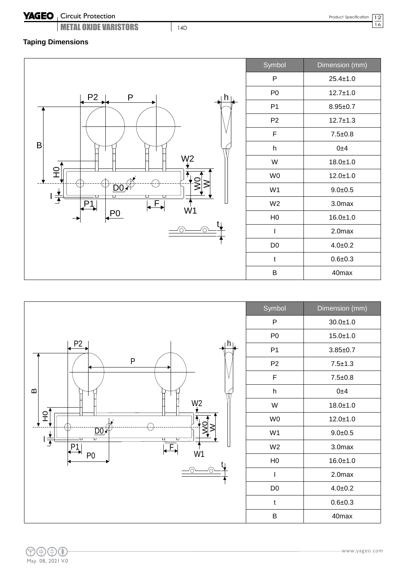#### **YAGEO** Circuit Protection

**METAL OXIDE VARISTORS** 14D

## **Taping Dimensions**





| Symbol         | Dimension (mm)    |
|----------------|-------------------|
| P              | $30.0 + 1.0$      |
| P0             | $15.0 + 1.0$      |
| P1             | $3.85 + 0.7$      |
| P2             | $7.5 + 1.3$       |
| F              | $7.5 \pm 0.8$     |
| h              | 0±4               |
| W              | $18.0 + 1.0$      |
| W <sub>0</sub> | $12.0 + 1.0$      |
| W <sub>1</sub> | $9.0 + 0.5$       |
| W <sub>2</sub> | 3.0max            |
| H <sub>0</sub> | $16.0 + 1.0$      |
| ı              | 2.0max            |
| D <sub>0</sub> | $4.0 + 0.2$       |
| t              | $0.6 + 0.3$       |
| B              | 40 <sub>max</sub> |

12  $\overline{16}$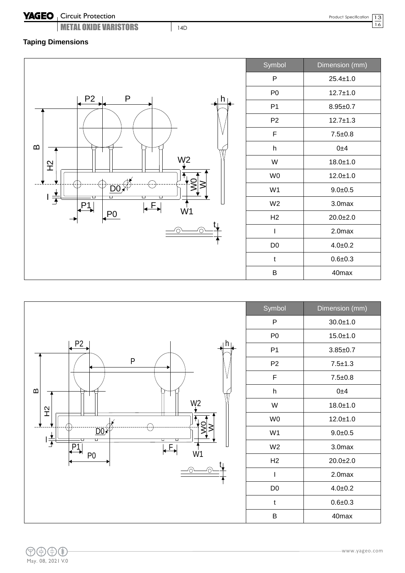# YAGEO | Circuit Protection

**METAL OXIDE VARISTORS** 14D

 $\overline{16}$ 

# **Taping Dimensions**

![](_page_12_Figure_5.jpeg)

| Symbol         | Dimension (mm) |
|----------------|----------------|
| P              | $25.4 \pm 1.0$ |
| P <sub>0</sub> | $12.7 + 1.0$   |
| P <sub>1</sub> | $8.95 \pm 0.7$ |
| P2             | $12.7 + 1.3$   |
| F              | $7.5 + 0.8$    |
| h              | 0±4            |
| W              | $18.0 + 1.0$   |
| W0             | $12.0 \pm 1.0$ |
| W <sub>1</sub> | $9.0 + 0.5$    |
| W <sub>2</sub> | 3.0max         |
| H <sub>2</sub> | $20.0+2.0$     |
| I              | 2.0max         |
| D <sub>0</sub> | $4.0 + 0.2$    |
| t              | $0.6 + 0.3$    |
| в              | 40max          |

![](_page_12_Figure_7.jpeg)

| Symbol         | Dimension (mm)     |
|----------------|--------------------|
| P              | $30.0 + 1.0$       |
| P <sub>0</sub> | $15.0 + 1.0$       |
| P1             | $3.85 \pm 0.7$     |
| P <sub>2</sub> | $7.5 + 1.3$        |
| F              | $7.5 + 0.8$        |
| h              | 0±4                |
| W              | $18.0 + 1.0$       |
| W <sub>0</sub> | $12.0 + 1.0$       |
| W <sub>1</sub> | $9.0 + 0.5$        |
| W <sub>2</sub> | 3.0max             |
| H <sub>2</sub> | $20.0+2.0$         |
| I              | 2.0 <sub>max</sub> |
| D0             | $4.0 + 0.2$        |
| t              | $0.6 + 0.3$        |
| B              | 40max              |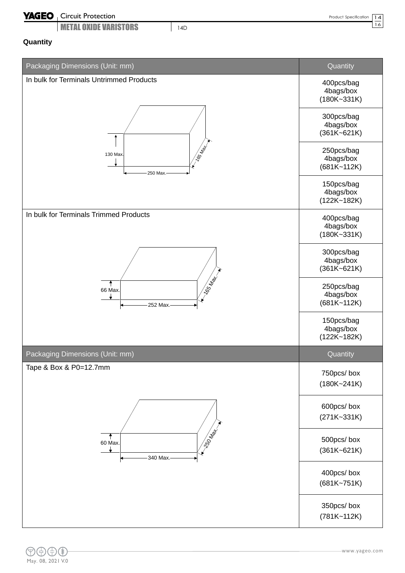## Circuit Protection

**METAL OXIDE VARISTORS** 24D

# **Quantity**

| Packaging Dimensions (Unit: mm)          | Quantity                                   |
|------------------------------------------|--------------------------------------------|
| In bulk for Terminals Untrimmed Products | 400pcs/bag<br>4bags/box<br>$(180K - 331K)$ |
|                                          | 300pcs/bag<br>4bags/box<br>$(361K - 621K)$ |
| 165 May<br>130 Max.<br>250 Max.          | 250pcs/bag<br>4bags/box<br>$(681K - 112K)$ |
|                                          | 150pcs/bag<br>4bags/box<br>$(122K - 182K)$ |
| In bulk for Terminals Trimmed Products   | 400pcs/bag<br>4bags/box<br>$(180K - 331K)$ |
|                                          | 300pcs/bag<br>4bags/box<br>$(361K - 621K)$ |
| 165 May-1<br>66 Max.<br>252 Max.         | 250pcs/bag<br>4bags/box<br>$(681K - 112K)$ |
|                                          | 150pcs/bag<br>4bags/box<br>$(122K - 182K)$ |
| Packaging Dimensions (Unit: mm)          | Quantity                                   |
| Tape & Box & P0=12.7mm                   | 750pcs/box<br>$(180K - 241K)$              |
|                                          | 600pcs/box<br>$(271K-331K)$                |
| <b>IDED</b><br>60 Max.<br>340 Max.-      | 500pcs/box<br>$(361K - 621K)$              |
|                                          | 400pcs/box<br>$(681K - 751K)$              |
|                                          | 350pcs/box<br>$(781K - 112K)$              |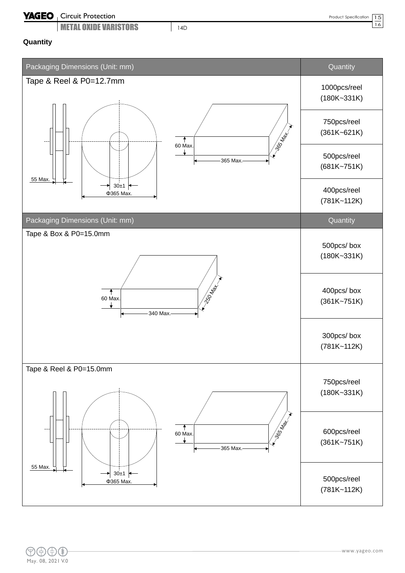# YAGEO | Circuit Protection

**METAL OXIDE VARISTORS** 14D

 $\overline{16}$ 

#### **Quantity**

![](_page_14_Figure_5.jpeg)